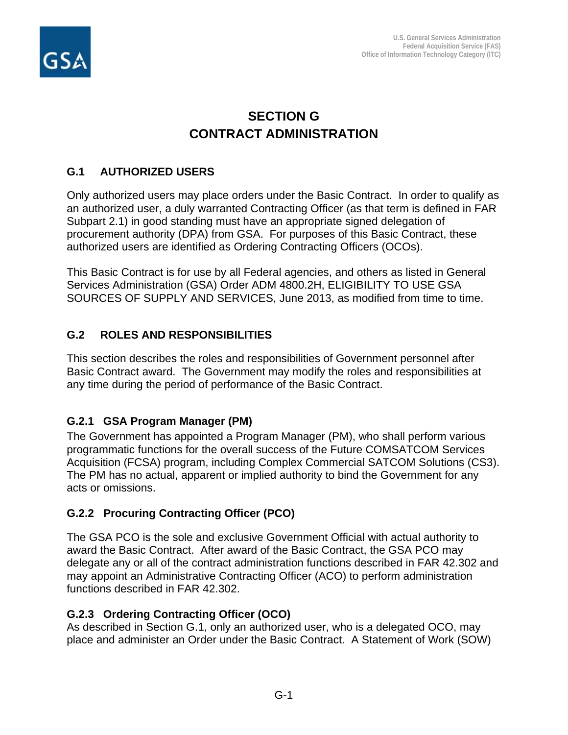

# **SECTION G CONTRACT ADMINISTRATION**

# **G.1 AUTHORIZED USERS**

Only authorized users may place orders under the Basic Contract. In order to qualify as an authorized user, a duly warranted Contracting Officer (as that term is defined in FAR Subpart 2.1) in good standing must have an appropriate signed delegation of procurement authority (DPA) from GSA. For purposes of this Basic Contract, these authorized users are identified as Ordering Contracting Officers (OCOs).

This Basic Contract is for use by all Federal agencies, and others as listed in General Services Administration (GSA) Order ADM 4800.2H, ELIGIBILITY TO USE GSA SOURCES OF SUPPLY AND SERVICES, June 2013, as modified from time to time.

# **G.2 ROLES AND RESPONSIBILITIES**

This section describes the roles and responsibilities of Government personnel after Basic Contract award. The Government may modify the roles and responsibilities at any time during the period of performance of the Basic Contract.

# **G.2.1 GSA Program Manager (PM)**

The Government has appointed a Program Manager (PM), who shall perform various programmatic functions for the overall success of the Future COMSATCOM Services Acquisition (FCSA) program, including Complex Commercial SATCOM Solutions (CS3). The PM has no actual, apparent or implied authority to bind the Government for any acts or omissions.

# **G.2.2 Procuring Contracting Officer (PCO)**

The GSA PCO is the sole and exclusive Government Official with actual authority to award the Basic Contract. After award of the Basic Contract, the GSA PCO may delegate any or all of the contract administration functions described in FAR 42.302 and may appoint an Administrative Contracting Officer (ACO) to perform administration functions described in FAR 42.302.

# **G.2.3 Ordering Contracting Officer (OCO)**

As described in Section G.1, only an authorized user, who is a delegated OCO, may place and administer an Order under the Basic Contract. A Statement of Work (SOW)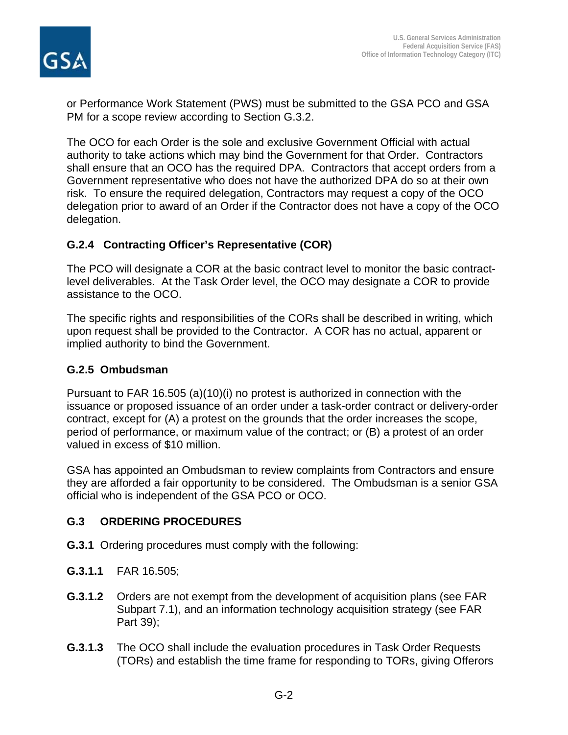

or Performance Work Statement (PWS) must be submitted to the GSA PCO and GSA PM for a scope review according to Section G.3.2.

The OCO for each Order is the sole and exclusive Government Official with actual authority to take actions which may bind the Government for that Order. Contractors shall ensure that an OCO has the required DPA. Contractors that accept orders from a Government representative who does not have the authorized DPA do so at their own risk. To ensure the required delegation, Contractors may request a copy of the OCO delegation prior to award of an Order if the Contractor does not have a copy of the OCO delegation.

# **G.2.4 Contracting Officer's Representative (COR)**

The PCO will designate a COR at the basic contract level to monitor the basic contractlevel deliverables. At the Task Order level, the OCO may designate a COR to provide assistance to the OCO.

The specific rights and responsibilities of the CORs shall be described in writing, which upon request shall be provided to the Contractor. A COR has no actual, apparent or implied authority to bind the Government.

# **G.2.5 Ombudsman**

Pursuant to FAR 16.505 (a)(10)(i) no protest is authorized in connection with the issuance or proposed issuance of an order under a task-order contract or delivery-order contract, except for (A) a protest on the grounds that the order increases the scope, period of performance, or maximum value of the contract; or (B) a protest of an order valued in excess of \$10 million.

GSA has appointed an Ombudsman to review complaints from Contractors and ensure they are afforded a fair opportunity to be considered. The Ombudsman is a senior GSA official who is independent of the GSA PCO or OCO.

# **G.3 ORDERING PROCEDURES**

- **G.3.1** Ordering procedures must comply with the following:
- **G.3.1.1** FAR 16.505;
- **G.3.1.2** Orders are not exempt from the development of acquisition plans (see FAR Subpart 7.1), and an information technology acquisition strategy (see FAR Part 39);
- **G.3.1.3** The OCO shall include the evaluation procedures in Task Order Requests (TORs) and establish the time frame for responding to TORs, giving Offerors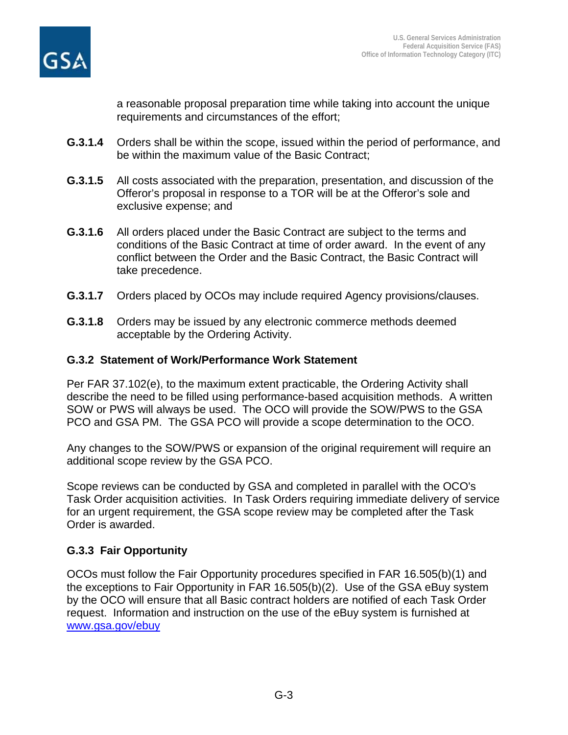

a reasonable proposal preparation time while taking into account the unique requirements and circumstances of the effort;

- **G.3.1.4** Orders shall be within the scope, issued within the period of performance, and be within the maximum value of the Basic Contract;
- **G.3.1.5** All costs associated with the preparation, presentation, and discussion of the Offeror's proposal in response to a TOR will be at the Offeror's sole and exclusive expense; and
- **G.3.1.6** All orders placed under the Basic Contract are subject to the terms and conditions of the Basic Contract at time of order award. In the event of any conflict between the Order and the Basic Contract, the Basic Contract will take precedence.
- **G.3.1.7** Orders placed by OCOs may include required Agency provisions/clauses.
- **G.3.1.8** Orders may be issued by any electronic commerce methods deemed acceptable by the Ordering Activity.

### **G.3.2 Statement of Work/Performance Work Statement**

Per FAR 37.102(e), to the maximum extent practicable, the Ordering Activity shall describe the need to be filled using performance-based acquisition methods. A written SOW or PWS will always be used. The OCO will provide the SOW/PWS to the GSA PCO and GSA PM. The GSA PCO will provide a scope determination to the OCO.

Any changes to the SOW/PWS or expansion of the original requirement will require an additional scope review by the GSA PCO.

Scope reviews can be conducted by GSA and completed in parallel with the OCO's Task Order acquisition activities. In Task Orders requiring immediate delivery of service for an urgent requirement, the GSA scope review may be completed after the Task Order is awarded.

# **G.3.3 Fair Opportunity**

OCOs must follow the Fair Opportunity procedures specified in FAR 16.505(b)(1) and the exceptions to Fair Opportunity in FAR 16.505(b)(2). Use of the GSA eBuy system by the OCO will ensure that all Basic contract holders are notified of each Task Order request. Information and instruction on the use of the eBuy system is furnished at [www.gsa.gov/ebuy](http://www.gsa.gov/ebuy)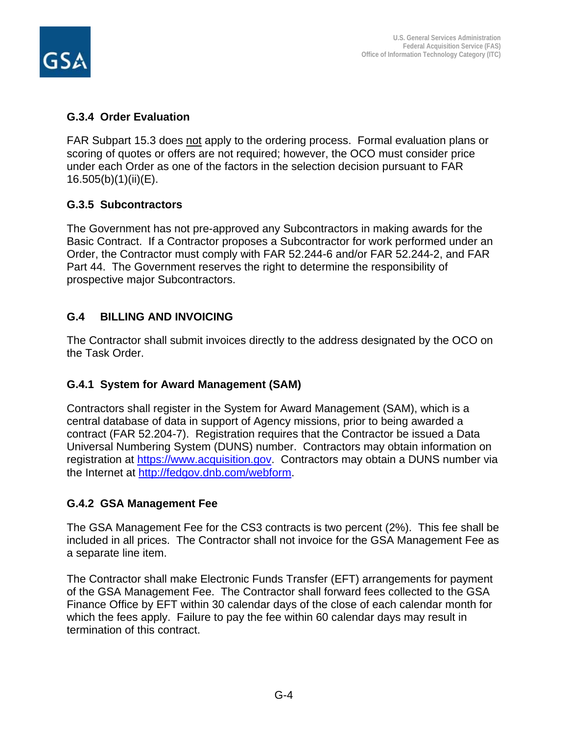

### **G.3.4 Order Evaluation**

FAR Subpart 15.3 does not apply to the ordering process. Formal evaluation plans or scoring of quotes or offers are not required; however, the OCO must consider price under each Order as one of the factors in the selection decision pursuant to FAR 16.505(b)(1)(ii)(E).

# **G.3.5 Subcontractors**

The Government has not pre-approved any Subcontractors in making awards for the Basic Contract. If a Contractor proposes a Subcontractor for work performed under an Order, the Contractor must comply with FAR 52.244-6 and/or FAR 52.244-2, and FAR Part 44. The Government reserves the right to determine the responsibility of prospective major Subcontractors.

# **G.4 BILLING AND INVOICING**

The Contractor shall submit invoices directly to the address designated by the OCO on the Task Order.

# **G.4.1 System for Award Management (SAM)**

Contractors shall register in the System for Award Management (SAM), which is a central database of data in support of Agency missions, prior to being awarded a contract (FAR 52.204-7). Registration requires that the Contractor be issued a Data Universal Numbering System (DUNS) number. Contractors may obtain information on registration at [https://www.acquisition.gov.](https://www.acquisition.gov/) Contractors may obtain a DUNS number via the Internet at [http://fedgov.dnb.com/webform.](http://fedgov.dnb.com/webform)

# **G.4.2 GSA Management Fee**

The GSA Management Fee for the CS3 contracts is two percent (2%). This fee shall be included in all prices. The Contractor shall not invoice for the GSA Management Fee as a separate line item.

The Contractor shall make Electronic Funds Transfer (EFT) arrangements for payment of the GSA Management Fee. The Contractor shall forward fees collected to the GSA Finance Office by EFT within 30 calendar days of the close of each calendar month for which the fees apply. Failure to pay the fee within 60 calendar days may result in termination of this contract.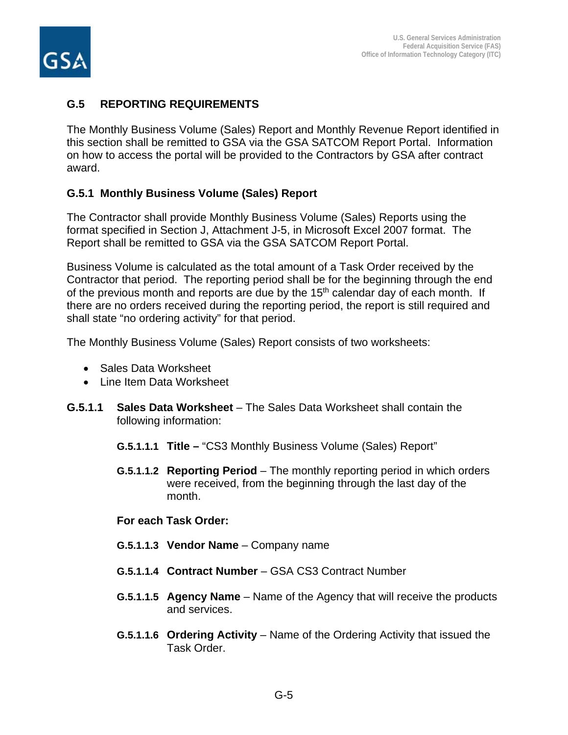

### **G.5 REPORTING REQUIREMENTS**

The Monthly Business Volume (Sales) Report and Monthly Revenue Report identified in this section shall be remitted to GSA via the GSA SATCOM Report Portal. Information on how to access the portal will be provided to the Contractors by GSA after contract award.

### **G.5.1 Monthly Business Volume (Sales) Report**

The Contractor shall provide Monthly Business Volume (Sales) Reports using the format specified in Section J, Attachment J-5, in Microsoft Excel 2007 format. The Report shall be remitted to GSA via the GSA SATCOM Report Portal.

Business Volume is calculated as the total amount of a Task Order received by the Contractor that period. The reporting period shall be for the beginning through the end of the previous month and reports are due by the  $15<sup>th</sup>$  calendar day of each month. If there are no orders received during the reporting period, the report is still required and shall state "no ordering activity" for that period.

The Monthly Business Volume (Sales) Report consists of two worksheets:

- Sales Data Worksheet
- Line Item Data Worksheet
- **G.5.1.1 Sales Data Worksheet** The Sales Data Worksheet shall contain the following information:
	- **G.5.1.1.1 Title –** "CS3 Monthly Business Volume (Sales) Report"
	- **G.5.1.1.2 Reporting Period** The monthly reporting period in which orders were received, from the beginning through the last day of the month.

#### **For each Task Order:**

- **G.5.1.1.3 Vendor Name** Company name
- **G.5.1.1.4 Contract Number** GSA CS3 Contract Number
- **G.5.1.1.5 Agency Name** Name of the Agency that will receive the products and services.
- **G.5.1.1.6 Ordering Activity** Name of the Ordering Activity that issued the Task Order.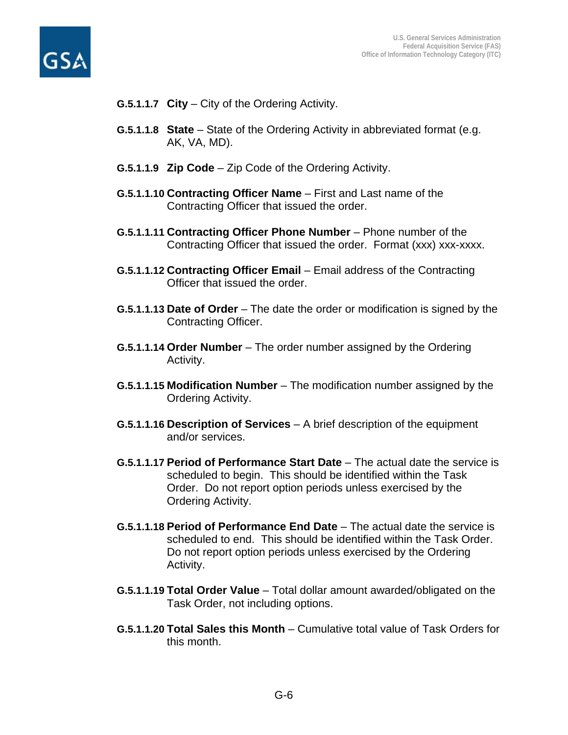



- **G.5.1.1.7 City**  City of the Ordering Activity.
- **G.5.1.1.8 State** State of the Ordering Activity in abbreviated format (e.g. AK, VA, MD).
- **G.5.1.1.9 Zip Code** Zip Code of the Ordering Activity.
- **G.5.1.1.10 Contracting Officer Name** First and Last name of the Contracting Officer that issued the order.
- **G.5.1.1.11 Contracting Officer Phone Number** Phone number of the Contracting Officer that issued the order. Format (xxx) xxx-xxxx.
- **G.5.1.1.12 Contracting Officer Email** Email address of the Contracting Officer that issued the order.
- **G.5.1.1.13 Date of Order** The date the order or modification is signed by the Contracting Officer.
- **G.5.1.1.14 Order Number** The order number assigned by the Ordering Activity.
- **G.5.1.1.15 Modification Number** The modification number assigned by the Ordering Activity.
- **G.5.1.1.16 Description of Services** A brief description of the equipment and/or services.
- **G.5.1.1.17 Period of Performance Start Date** The actual date the service is scheduled to begin. This should be identified within the Task Order. Do not report option periods unless exercised by the Ordering Activity.
- **G.5.1.1.18 Period of Performance End Date** The actual date the service is scheduled to end. This should be identified within the Task Order. Do not report option periods unless exercised by the Ordering Activity.
- **G.5.1.1.19 Total Order Value** Total dollar amount awarded/obligated on the Task Order, not including options.
- **G.5.1.1.20 Total Sales this Month** Cumulative total value of Task Orders for this month.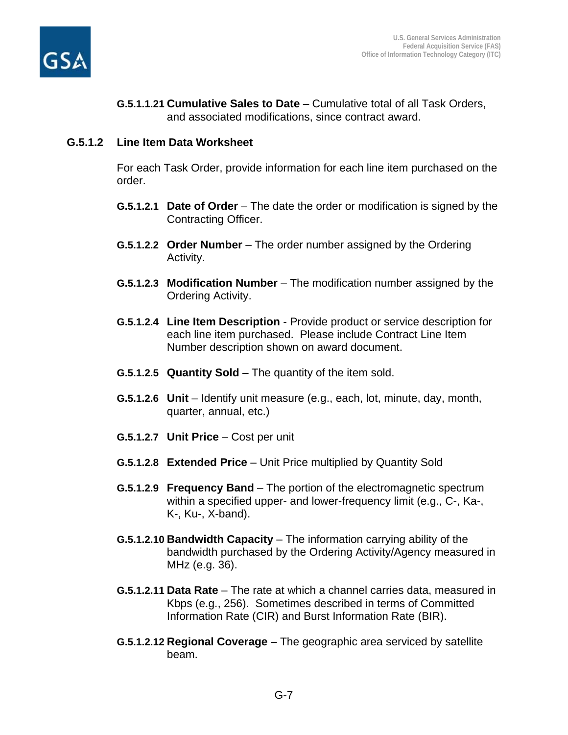

**G.5.1.1.21 Cumulative Sales to Date** – Cumulative total of all Task Orders, and associated modifications, since contract award.

#### **G.5.1.2 Line Item Data Worksheet**

For each Task Order, provide information for each line item purchased on the order.

- **G.5.1.2.1 Date of Order** The date the order or modification is signed by the Contracting Officer.
- **G.5.1.2.2 Order Number** The order number assigned by the Ordering Activity.
- **G.5.1.2.3 Modification Number** The modification number assigned by the Ordering Activity.
- **G.5.1.2.4 Line Item Description** Provide product or service description for each line item purchased. Please include Contract Line Item Number description shown on award document.
- **G.5.1.2.5 Quantity Sold** The quantity of the item sold.
- **G.5.1.2.6 Unit** Identify unit measure (e.g., each, lot, minute, day, month, quarter, annual, etc.)
- **G.5.1.2.7 Unit Price** Cost per unit
- **G.5.1.2.8 Extended Price** Unit Price multiplied by Quantity Sold
- **G.5.1.2.9 Frequency Band** The portion of the electromagnetic spectrum within a specified upper- and lower-frequency limit (e.g., C-, Ka-, K-, Ku-, X-band).
- **G.5.1.2.10 Bandwidth Capacity** The information carrying ability of the bandwidth purchased by the Ordering Activity/Agency measured in MHz (e.g. 36).
- **G.5.1.2.11 Data Rate** The rate at which a channel carries data, measured in Kbps (e.g., 256). Sometimes described in terms of Committed Information Rate (CIR) and Burst Information Rate (BIR).
- **G.5.1.2.12 Regional Coverage** The geographic area serviced by satellite beam.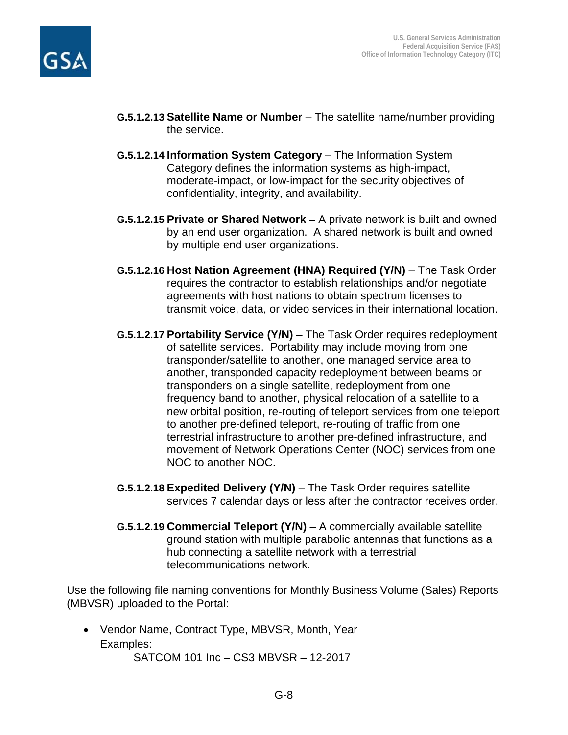

- **G.5.1.2.13 Satellite Name or Number** The satellite name/number providing the service.
- **G.5.1.2.14 Information System Category** The Information System Category defines the information systems as high-impact, moderate-impact, or low-impact for the security objectives of confidentiality, integrity, and availability.
- **G.5.1.2.15 Private or Shared Network** A private network is built and owned by an end user organization. A shared network is built and owned by multiple end user organizations.
- **G.5.1.2.16 Host Nation Agreement (HNA) Required (Y/N)** The Task Order requires the contractor to establish relationships and/or negotiate agreements with host nations to obtain spectrum licenses to transmit voice, data, or video services in their international location.
- **G.5.1.2.17 Portability Service (Y/N)** The Task Order requires redeployment of satellite services. Portability may include moving from one transponder/satellite to another, one managed service area to another, transponded capacity redeployment between beams or transponders on a single satellite, redeployment from one frequency band to another, physical relocation of a satellite to a new orbital position, re-routing of teleport services from one teleport to another pre-defined teleport, re-routing of traffic from one terrestrial infrastructure to another pre-defined infrastructure, and movement of Network Operations Center (NOC) services from one NOC to another NOC.
- **G.5.1.2.18 Expedited Delivery (Y/N)** The Task Order requires satellite services 7 calendar days or less after the contractor receives order.
- **G.5.1.2.19 Commercial Teleport (Y/N)** A commercially available satellite ground station with multiple parabolic antennas that functions as a hub connecting a satellite network with a terrestrial telecommunications network.

Use the following file naming conventions for Monthly Business Volume (Sales) Reports (MBVSR) uploaded to the Portal:

• Vendor Name, Contract Type, MBVSR, Month, Year Examples:

SATCOM 101 Inc – CS3 MBVSR – 12-2017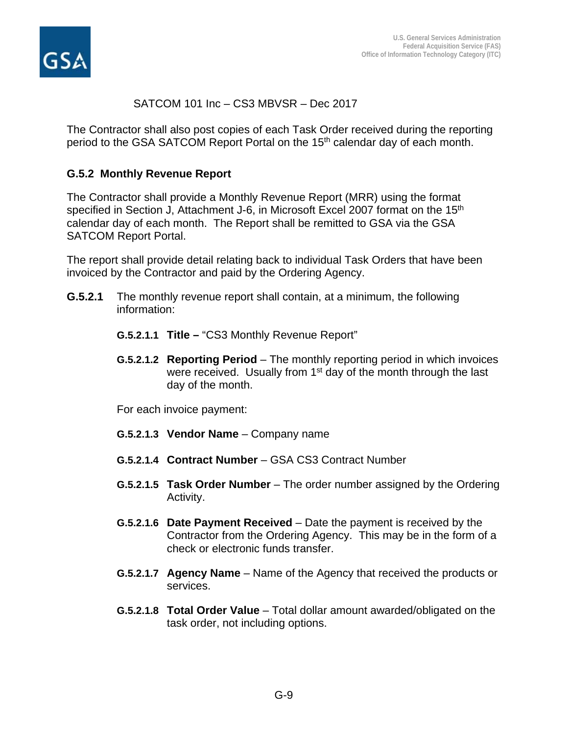

### SATCOM 101 Inc – CS3 MBVSR – Dec 2017

The Contractor shall also post copies of each Task Order received during the reporting period to the GSA SATCOM Report Portal on the 15<sup>th</sup> calendar day of each month.

#### **G.5.2 Monthly Revenue Report**

The Contractor shall provide a Monthly Revenue Report (MRR) using the format specified in Section J, Attachment J-6, in Microsoft Excel 2007 format on the 15<sup>th</sup> calendar day of each month. The Report shall be remitted to GSA via the GSA SATCOM Report Portal.

The report shall provide detail relating back to individual Task Orders that have been invoiced by the Contractor and paid by the Ordering Agency.

- **G.5.2.1** The monthly revenue report shall contain, at a minimum, the following information:
	- **G.5.2.1.1 Title –** "CS3 Monthly Revenue Report"
	- **G.5.2.1.2 Reporting Period**  The monthly reporting period in which invoices were received. Usually from 1<sup>st</sup> day of the month through the last day of the month.

For each invoice payment:

- **G.5.2.1.3 Vendor Name** Company name
- **G.5.2.1.4 Contract Number** GSA CS3 Contract Number
- **G.5.2.1.5 Task Order Number** The order number assigned by the Ordering Activity.
- **G.5.2.1.6 Date Payment Received** Date the payment is received by the Contractor from the Ordering Agency. This may be in the form of a check or electronic funds transfer.
- **G.5.2.1.7 Agency Name** Name of the Agency that received the products or services.
- **G.5.2.1.8 Total Order Value** Total dollar amount awarded/obligated on the task order, not including options.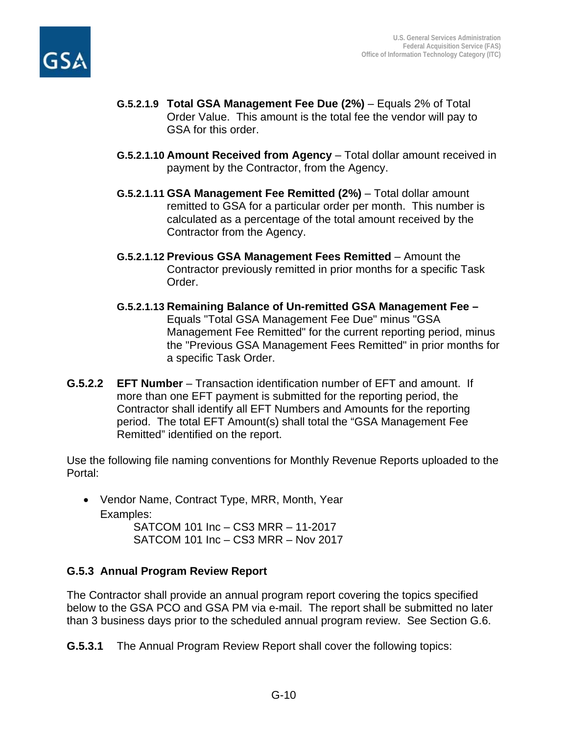

- **G.5.2.1.9 Total GSA Management Fee Due (2%)** Equals 2% of Total Order Value. This amount is the total fee the vendor will pay to GSA for this order.
- **G.5.2.1.10 Amount Received from Agency** Total dollar amount received in payment by the Contractor, from the Agency.
- **G.5.2.1.11 GSA Management Fee Remitted (2%)** Total dollar amount remitted to GSA for a particular order per month. This number is calculated as a percentage of the total amount received by the Contractor from the Agency.
- **G.5.2.1.12 Previous GSA Management Fees Remitted** Amount the Contractor previously remitted in prior months for a specific Task Order.
- **G.5.2.1.13 Remaining Balance of Un-remitted GSA Management Fee –** Equals "Total GSA Management Fee Due" minus "GSA Management Fee Remitted" for the current reporting period, minus the "Previous GSA Management Fees Remitted" in prior months for a specific Task Order.
- **G.5.2.2 EFT Number** Transaction identification number of EFT and amount. If more than one EFT payment is submitted for the reporting period, the Contractor shall identify all EFT Numbers and Amounts for the reporting period. The total EFT Amount(s) shall total the "GSA Management Fee Remitted" identified on the report.

Use the following file naming conventions for Monthly Revenue Reports uploaded to the Portal:

• Vendor Name, Contract Type, MRR, Month, Year Examples: SATCOM 101 Inc – CS3 MRR – 11-2017 SATCOM 101 Inc – CS3 MRR – Nov 2017

# **G.5.3 Annual Program Review Report**

The Contractor shall provide an annual program report covering the topics specified below to the GSA PCO and GSA PM via e-mail. The report shall be submitted no later than 3 business days prior to the scheduled annual program review. See Section G.6.

**G.5.3.1** The Annual Program Review Report shall cover the following topics: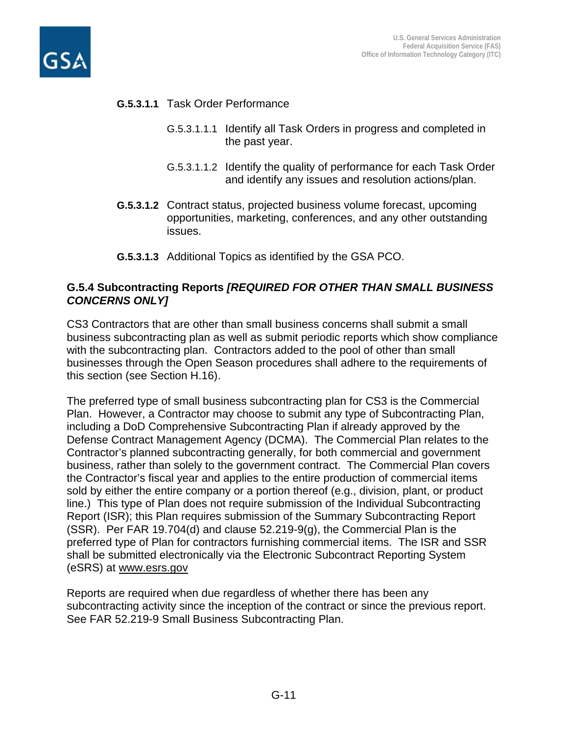



### **G.5.3.1.1** Task Order Performance

- G.5.3.1.1.1 Identify all Task Orders in progress and completed in the past year.
- G.5.3.1.1.2 Identify the quality of performance for each Task Order and identify any issues and resolution actions/plan.
- **G.5.3.1.2** Contract status, projected business volume forecast, upcoming opportunities, marketing, conferences, and any other outstanding issues.
- **G.5.3.1.3** Additional Topics as identified by the GSA PCO.

### **G.5.4 Subcontracting Reports** *[REQUIRED FOR OTHER THAN SMALL BUSINESS CONCERNS ONLY]*

CS3 Contractors that are other than small business concerns shall submit a small business subcontracting plan as well as submit periodic reports which show compliance with the subcontracting plan. Contractors added to the pool of other than small businesses through the Open Season procedures shall adhere to the requirements of this section (see Section H.16).

The preferred type of small business subcontracting plan for CS3 is the Commercial Plan. However, a Contractor may choose to submit any type of Subcontracting Plan, including a DoD Comprehensive Subcontracting Plan if already approved by the Defense Contract Management Agency (DCMA). The Commercial Plan relates to the Contractor's planned subcontracting generally, for both commercial and government business, rather than solely to the government contract. The Commercial Plan covers the Contractor's fiscal year and applies to the entire production of commercial items sold by either the entire company or a portion thereof (e.g., division, plant, or product line.) This type of Plan does not require submission of the Individual Subcontracting Report (ISR); this Plan requires submission of the Summary Subcontracting Report (SSR). Per FAR 19.704(d) and clause 52.219-9(g), the Commercial Plan is the preferred type of Plan for contractors furnishing commercial items. The ISR and SSR shall be submitted electronically via the Electronic Subcontract Reporting System (eSRS) at www.esrs.gov

Reports are required when due regardless of whether there has been any subcontracting activity since the inception of the contract or since the previous report. See FAR 52.219-9 Small Business Subcontracting Plan.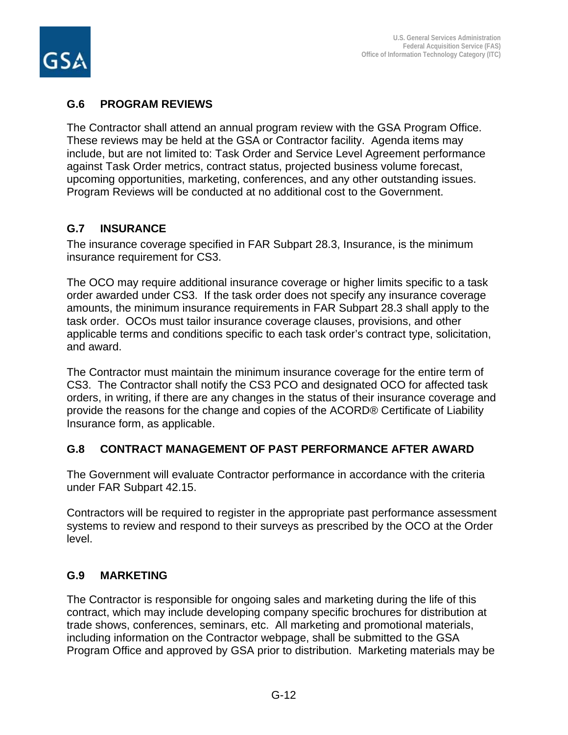

# **G.6 PROGRAM REVIEWS**

The Contractor shall attend an annual program review with the GSA Program Office. These reviews may be held at the GSA or Contractor facility. Agenda items may include, but are not limited to: Task Order and Service Level Agreement performance against Task Order metrics, contract status, projected business volume forecast, upcoming opportunities, marketing, conferences, and any other outstanding issues. Program Reviews will be conducted at no additional cost to the Government.

# **G.7 INSURANCE**

The insurance coverage specified in FAR Subpart 28.3, Insurance, is the minimum insurance requirement for CS3.

The OCO may require additional insurance coverage or higher limits specific to a task order awarded under CS3. If the task order does not specify any insurance coverage amounts, the minimum insurance requirements in FAR Subpart 28.3 shall apply to the task order. OCOs must tailor insurance coverage clauses, provisions, and other applicable terms and conditions specific to each task order's contract type, solicitation, and award.

The Contractor must maintain the minimum insurance coverage for the entire term of CS3. The Contractor shall notify the CS3 PCO and designated OCO for affected task orders, in writing, if there are any changes in the status of their insurance coverage and provide the reasons for the change and copies of the ACORD® Certificate of Liability Insurance form, as applicable.

# **G.8 CONTRACT MANAGEMENT OF PAST PERFORMANCE AFTER AWARD**

The Government will evaluate Contractor performance in accordance with the criteria under FAR Subpart 42.15.

Contractors will be required to register in the appropriate past performance assessment systems to review and respond to their surveys as prescribed by the OCO at the Order level.

# **G.9 MARKETING**

The Contractor is responsible for ongoing sales and marketing during the life of this contract, which may include developing company specific brochures for distribution at trade shows, conferences, seminars, etc. All marketing and promotional materials, including information on the Contractor webpage, shall be submitted to the GSA Program Office and approved by GSA prior to distribution. Marketing materials may be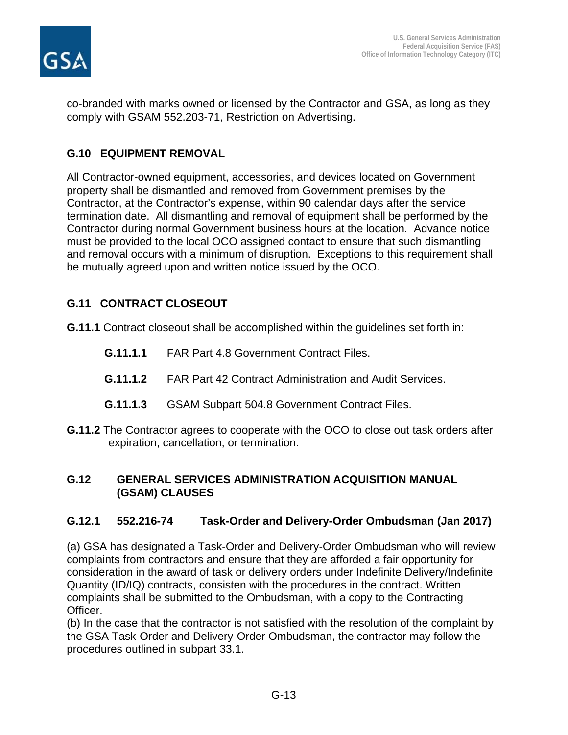

co-branded with marks owned or licensed by the Contractor and GSA, as long as they comply with GSAM 552.203-71, Restriction on Advertising.

# **G.10 EQUIPMENT REMOVAL**

All Contractor-owned equipment, accessories, and devices located on Government property shall be dismantled and removed from Government premises by the Contractor, at the Contractor's expense, within 90 calendar days after the service termination date. All dismantling and removal of equipment shall be performed by the Contractor during normal Government business hours at the location. Advance notice must be provided to the local OCO assigned contact to ensure that such dismantling and removal occurs with a minimum of disruption. Exceptions to this requirement shall be mutually agreed upon and written notice issued by the OCO.

# **G.11 CONTRACT CLOSEOUT**

**G.11.1** Contract closeout shall be accomplished within the guidelines set forth in:

- **G.11.1.1** FAR Part 4.8 Government Contract Files.
- **G.11.1.2** FAR Part 42 Contract Administration and Audit Services.
- **G.11.1.3** GSAM Subpart 504.8 Government Contract Files.
- **G.11.2** The Contractor agrees to cooperate with the OCO to close out task orders after expiration, cancellation, or termination.

### **G.12 GENERAL SERVICES ADMINISTRATION ACQUISITION MANUAL (GSAM) CLAUSES**

# **G.12.1 552.216-74 Task-Order and Delivery-Order Ombudsman (Jan 2017)**

(a) GSA has designated a Task-Order and Delivery-Order Ombudsman who will review complaints from contractors and ensure that they are afforded a fair opportunity for consideration in the award of task or delivery orders under Indefinite Delivery/Indefinite Quantity (ID/IQ) contracts, consisten with the procedures in the contract. Written complaints shall be submitted to the Ombudsman, with a copy to the Contracting Officer.

(b) In the case that the contractor is not satisfied with the resolution of the complaint by the GSA Task-Order and Delivery-Order Ombudsman, the contractor may follow the procedures outlined in subpart 33.1.